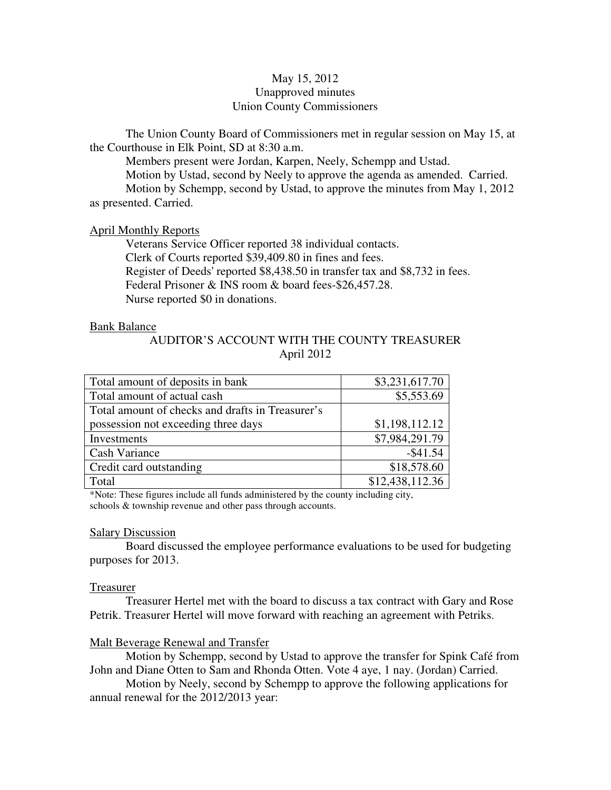# May 15, 2012 Unapproved minutes Union County Commissioners

The Union County Board of Commissioners met in regular session on May 15, at the Courthouse in Elk Point, SD at 8:30 a.m.

 Members present were Jordan, Karpen, Neely, Schempp and Ustad. Motion by Ustad, second by Neely to approve the agenda as amended. Carried. Motion by Schempp, second by Ustad, to approve the minutes from May 1, 2012 as presented. Carried.

## April Monthly Reports

 Veterans Service Officer reported 38 individual contacts. Clerk of Courts reported \$39,409.80 in fines and fees. Register of Deeds' reported \$8,438.50 in transfer tax and \$8,732 in fees. Federal Prisoner & INS room & board fees-\$26,457.28. Nurse reported \$0 in donations.

### Bank Balance

# AUDITOR'S ACCOUNT WITH THE COUNTY TREASURER April 2012

| Total amount of deposits in bank                 | \$3,231,617.70  |
|--------------------------------------------------|-----------------|
| Total amount of actual cash                      | \$5,553.69      |
| Total amount of checks and drafts in Treasurer's |                 |
| possession not exceeding three days              | \$1,198,112.12  |
| Investments                                      | \$7,984,291.79  |
| Cash Variance                                    | $-$ \$41.54     |
| Credit card outstanding                          | \$18,578.60     |
| Total                                            | \$12,438,112.36 |

\*Note: These figures include all funds administered by the county including city, schools & township revenue and other pass through accounts.

### Salary Discussion

 Board discussed the employee performance evaluations to be used for budgeting purposes for 2013.

#### Treasurer

 Treasurer Hertel met with the board to discuss a tax contract with Gary and Rose Petrik. Treasurer Hertel will move forward with reaching an agreement with Petriks.

### Malt Beverage Renewal and Transfer

 Motion by Schempp, second by Ustad to approve the transfer for Spink Café from John and Diane Otten to Sam and Rhonda Otten. Vote 4 aye, 1 nay. (Jordan) Carried.

 Motion by Neely, second by Schempp to approve the following applications for annual renewal for the 2012/2013 year: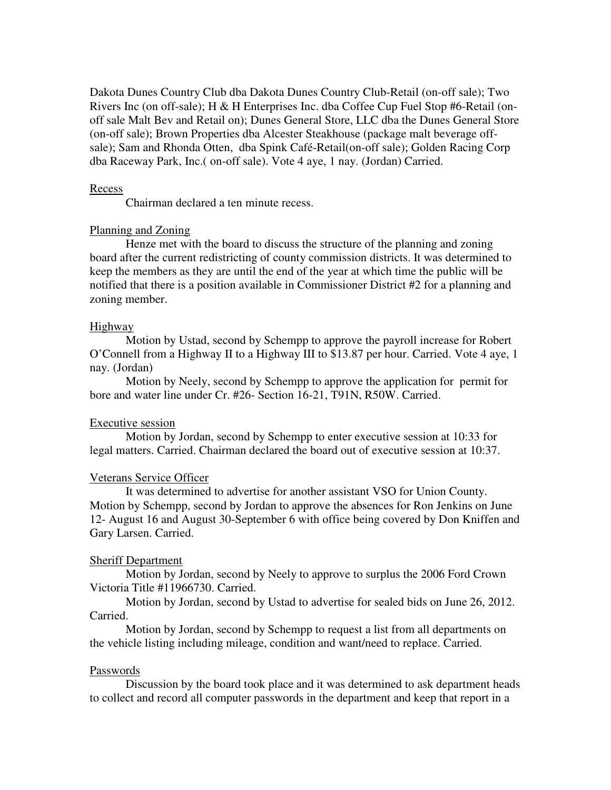Dakota Dunes Country Club dba Dakota Dunes Country Club-Retail (on-off sale); Two Rivers Inc (on off-sale); H & H Enterprises Inc. dba Coffee Cup Fuel Stop #6-Retail (onoff sale Malt Bev and Retail on); Dunes General Store, LLC dba the Dunes General Store (on-off sale); Brown Properties dba Alcester Steakhouse (package malt beverage offsale); Sam and Rhonda Otten, dba Spink Café-Retail(on-off sale); Golden Racing Corp dba Raceway Park, Inc.( on-off sale). Vote 4 aye, 1 nay. (Jordan) Carried.

### Recess

Chairman declared a ten minute recess.

## Planning and Zoning

 Henze met with the board to discuss the structure of the planning and zoning board after the current redistricting of county commission districts. It was determined to keep the members as they are until the end of the year at which time the public will be notified that there is a position available in Commissioner District #2 for a planning and zoning member.

### Highway

 Motion by Ustad, second by Schempp to approve the payroll increase for Robert O'Connell from a Highway II to a Highway III to \$13.87 per hour. Carried. Vote 4 aye, 1 nay. (Jordan)

 Motion by Neely, second by Schempp to approve the application for permit for bore and water line under Cr. #26- Section 16-21, T91N, R50W. Carried.

## Executive session

 Motion by Jordan, second by Schempp to enter executive session at 10:33 for legal matters. Carried. Chairman declared the board out of executive session at 10:37.

### Veterans Service Officer

 It was determined to advertise for another assistant VSO for Union County. Motion by Schempp, second by Jordan to approve the absences for Ron Jenkins on June 12- August 16 and August 30-September 6 with office being covered by Don Kniffen and Gary Larsen. Carried.

### Sheriff Department

 Motion by Jordan, second by Neely to approve to surplus the 2006 Ford Crown Victoria Title #11966730. Carried.

Motion by Jordan, second by Ustad to advertise for sealed bids on June 26, 2012. Carried.

 Motion by Jordan, second by Schempp to request a list from all departments on the vehicle listing including mileage, condition and want/need to replace. Carried.

### Passwords

 Discussion by the board took place and it was determined to ask department heads to collect and record all computer passwords in the department and keep that report in a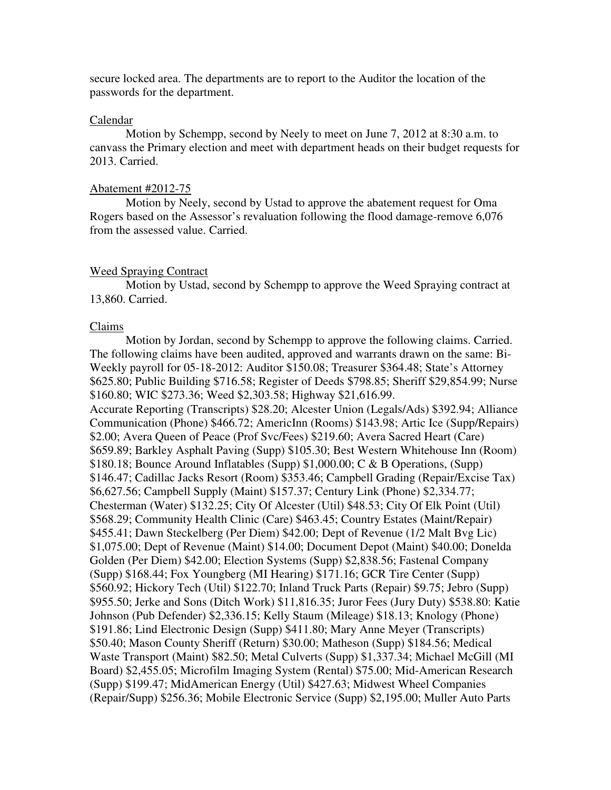secure locked area. The departments are to report to the Auditor the location of the passwords for the department.

# Calendar

 Motion by Schempp, second by Neely to meet on June 7, 2012 at 8:30 a.m. to canvass the Primary election and meet with department heads on their budget requests for 2013. Carried.

#### Abatement #2012-75

 Motion by Neely, second by Ustad to approve the abatement request for Oma Rogers based on the Assessor's revaluation following the flood damage-remove 6,076 from the assessed value. Carried.

### Weed Spraying Contract

 Motion by Ustad, second by Schempp to approve the Weed Spraying contract at 13,860. Carried.

### Claims

 Motion by Jordan, second by Schempp to approve the following claims. Carried. The following claims have been audited, approved and warrants drawn on the same: Bi-Weekly payroll for 05-18-2012: Auditor \$150.08; Treasurer \$364.48; State's Attorney \$625.80; Public Building \$716.58; Register of Deeds \$798.85; Sheriff \$29,854.99; Nurse \$160.80; WIC \$273.36; Weed \$2,303.58; Highway \$21,616.99. Accurate Reporting (Transcripts) \$28.20; Alcester Union (Legals/Ads) \$392.94; Alliance Communication (Phone) \$466.72; AmericInn (Rooms) \$143.98; Artic Ice (Supp/Repairs) \$2.00; Avera Queen of Peace (Prof Svc/Fees) \$219.60; Avera Sacred Heart (Care) \$659.89; Barkley Asphalt Paving (Supp) \$105.30; Best Western Whitehouse Inn (Room) \$180.18; Bounce Around Inflatables (Supp) \$1,000.00; C & B Operations, (Supp) \$146.47; Cadillac Jacks Resort (Room) \$353.46; Campbell Grading (Repair/Excise Tax) \$6,627.56; Campbell Supply (Maint) \$157.37; Century Link (Phone) \$2,334.77; Chesterman (Water) \$132.25; City Of Alcester (Util) \$48.53; City Of Elk Point (Util) \$568.29; Community Health Clinic (Care) \$463.45; Country Estates (Maint/Repair) \$455.41; Dawn Steckelberg (Per Diem) \$42.00; Dept of Revenue (1/2 Malt Bvg Lic) \$1,075.00; Dept of Revenue (Maint) \$14.00; Document Depot (Maint) \$40.00; Donelda Golden (Per Diem) \$42.00; Election Systems (Supp) \$2,838.56; Fastenal Company (Supp) \$168.44; Fox Youngberg (MI Hearing) \$171.16; GCR Tire Center (Supp) \$560.92; Hickory Tech (Util) \$122.70; Inland Truck Parts (Repair) \$9.75; Jebro (Supp) \$955.50; Jerke and Sons (Ditch Work) \$11,816.35; Juror Fees (Jury Duty) \$538.80: Katie Johnson (Pub Defender) \$2,336.15; Kelly Staum (Mileage) \$18.13; Knology (Phone) \$191.86; Lind Electronic Design (Supp) \$411.80; Mary Anne Meyer (Transcripts) \$50.40; Mason County Sheriff (Return) \$30.00; Matheson (Supp) \$184.56; Medical Waste Transport (Maint) \$82.50; Metal Culverts (Supp) \$1,337.34; Michael McGill (MI Board) \$2,455.05; Microfilm Imaging System (Rental) \$75.00; Mid-American Research (Supp) \$199.47; MidAmerican Energy (Util) \$427.63; Midwest Wheel Companies (Repair/Supp) \$256.36; Mobile Electronic Service (Supp) \$2,195.00; Muller Auto Parts